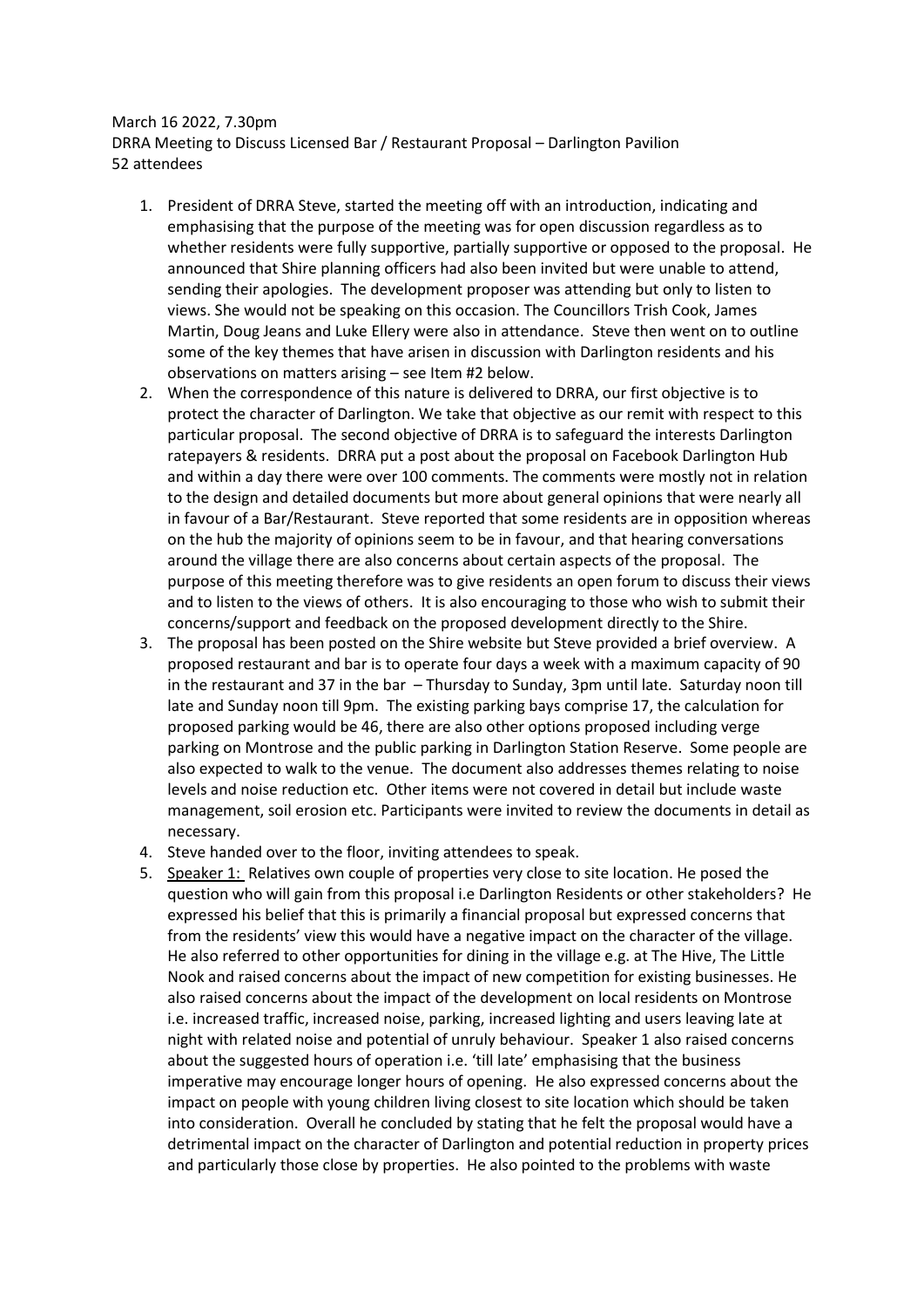March 16 2022, 7.30pm DRRA Meeting to Discuss Licensed Bar / Restaurant Proposal – Darlington Pavilion 52 attendees

- 1. President of DRRA Steve, started the meeting off with an introduction, indicating and emphasising that the purpose of the meeting was for open discussion regardless as to whether residents were fully supportive, partially supportive or opposed to the proposal. He announced that Shire planning officers had also been invited but were unable to attend, sending their apologies. The development proposer was attending but only to listen to views. She would not be speaking on this occasion. The Councillors Trish Cook, James Martin, Doug Jeans and Luke Ellery were also in attendance. Steve then went on to outline some of the key themes that have arisen in discussion with Darlington residents and his observations on matters arising – see Item #2 below.
- 2. When the correspondence of this nature is delivered to DRRA, our first objective is to protect the character of Darlington. We take that objective as our remit with respect to this particular proposal. The second objective of DRRA is to safeguard the interests Darlington ratepayers & residents. DRRA put a post about the proposal on Facebook Darlington Hub and within a day there were over 100 comments. The comments were mostly not in relation to the design and detailed documents but more about general opinions that were nearly all in favour of a Bar/Restaurant. Steve reported that some residents are in opposition whereas on the hub the majority of opinions seem to be in favour, and that hearing conversations around the village there are also concerns about certain aspects of the proposal. The purpose of this meeting therefore was to give residents an open forum to discuss their views and to listen to the views of others. It is also encouraging to those who wish to submit their concerns/support and feedback on the proposed development directly to the Shire.
- 3. The proposal has been posted on the Shire website but Steve provided a brief overview. A proposed restaurant and bar is to operate four days a week with a maximum capacity of 90 in the restaurant and 37 in the bar – Thursday to Sunday, 3pm until late. Saturday noon till late and Sunday noon till 9pm. The existing parking bays comprise 17, the calculation for proposed parking would be 46, there are also other options proposed including verge parking on Montrose and the public parking in Darlington Station Reserve. Some people are also expected to walk to the venue. The document also addresses themes relating to noise levels and noise reduction etc. Other items were not covered in detail but include waste management, soil erosion etc. Participants were invited to review the documents in detail as necessary.
- 4. Steve handed over to the floor, inviting attendees to speak.
- 5. Speaker 1: Relatives own couple of properties very close to site location. He posed the question who will gain from this proposal i.e Darlington Residents or other stakeholders? He expressed his belief that this is primarily a financial proposal but expressed concerns that from the residents' view this would have a negative impact on the character of the village. He also referred to other opportunities for dining in the village e.g. at The Hive, The Little Nook and raised concerns about the impact of new competition for existing businesses. He also raised concerns about the impact of the development on local residents on Montrose i.e. increased traffic, increased noise, parking, increased lighting and users leaving late at night with related noise and potential of unruly behaviour. Speaker 1 also raised concerns about the suggested hours of operation i.e. 'till late' emphasising that the business imperative may encourage longer hours of opening. He also expressed concerns about the impact on people with young children living closest to site location which should be taken into consideration. Overall he concluded by stating that he felt the proposal would have a detrimental impact on the character of Darlington and potential reduction in property prices and particularly those close by properties. He also pointed to the problems with waste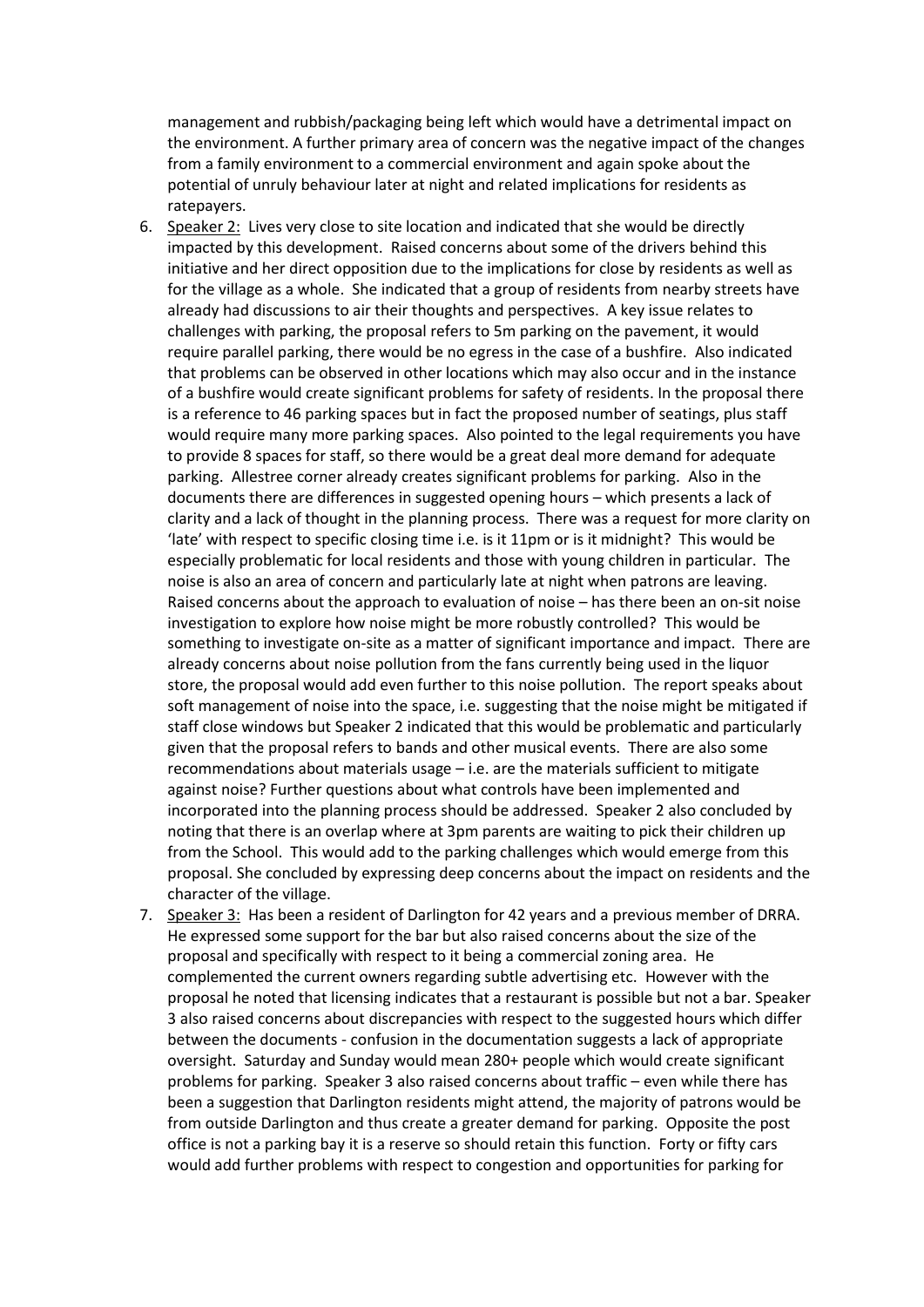management and rubbish/packaging being left which would have a detrimental impact on the environment. A further primary area of concern was the negative impact of the changes from a family environment to a commercial environment and again spoke about the potential of unruly behaviour later at night and related implications for residents as ratepayers.

- 6. Speaker 2: Lives very close to site location and indicated that she would be directly impacted by this development. Raised concerns about some of the drivers behind this initiative and her direct opposition due to the implications for close by residents as well as for the village as a whole. She indicated that a group of residents from nearby streets have already had discussions to air their thoughts and perspectives. A key issue relates to challenges with parking, the proposal refers to 5m parking on the pavement, it would require parallel parking, there would be no egress in the case of a bushfire. Also indicated that problems can be observed in other locations which may also occur and in the instance of a bushfire would create significant problems for safety of residents. In the proposal there is a reference to 46 parking spaces but in fact the proposed number of seatings, plus staff would require many more parking spaces. Also pointed to the legal requirements you have to provide 8 spaces for staff, so there would be a great deal more demand for adequate parking. Allestree corner already creates significant problems for parking. Also in the documents there are differences in suggested opening hours – which presents a lack of clarity and a lack of thought in the planning process. There was a request for more clarity on 'late' with respect to specific closing time i.e. is it 11pm or is it midnight? This would be especially problematic for local residents and those with young children in particular. The noise is also an area of concern and particularly late at night when patrons are leaving. Raised concerns about the approach to evaluation of noise – has there been an on-sit noise investigation to explore how noise might be more robustly controlled? This would be something to investigate on-site as a matter of significant importance and impact. There are already concerns about noise pollution from the fans currently being used in the liquor store, the proposal would add even further to this noise pollution. The report speaks about soft management of noise into the space, i.e. suggesting that the noise might be mitigated if staff close windows but Speaker 2 indicated that this would be problematic and particularly given that the proposal refers to bands and other musical events. There are also some recommendations about materials usage – i.e. are the materials sufficient to mitigate against noise? Further questions about what controls have been implemented and incorporated into the planning process should be addressed. Speaker 2 also concluded by noting that there is an overlap where at 3pm parents are waiting to pick their children up from the School. This would add to the parking challenges which would emerge from this proposal. She concluded by expressing deep concerns about the impact on residents and the character of the village.
- 7. Speaker 3: Has been a resident of Darlington for 42 years and a previous member of DRRA. He expressed some support for the bar but also raised concerns about the size of the proposal and specifically with respect to it being a commercial zoning area. He complemented the current owners regarding subtle advertising etc. However with the proposal he noted that licensing indicates that a restaurant is possible but not a bar. Speaker 3 also raised concerns about discrepancies with respect to the suggested hours which differ between the documents - confusion in the documentation suggests a lack of appropriate oversight. Saturday and Sunday would mean 280+ people which would create significant problems for parking. Speaker 3 also raised concerns about traffic – even while there has been a suggestion that Darlington residents might attend, the majority of patrons would be from outside Darlington and thus create a greater demand for parking. Opposite the post office is not a parking bay it is a reserve so should retain this function. Forty or fifty cars would add further problems with respect to congestion and opportunities for parking for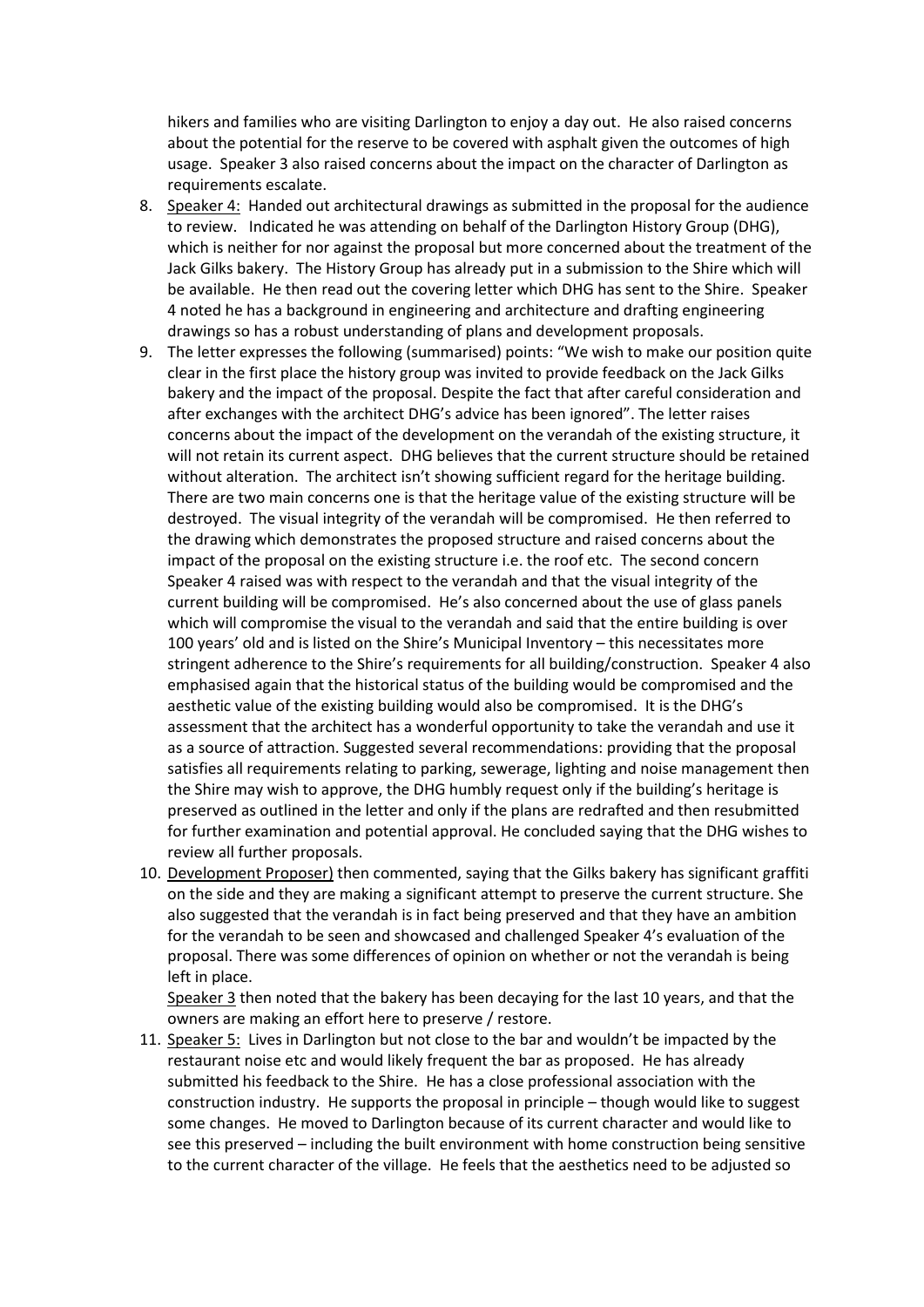hikers and families who are visiting Darlington to enjoy a day out. He also raised concerns about the potential for the reserve to be covered with asphalt given the outcomes of high usage. Speaker 3 also raised concerns about the impact on the character of Darlington as requirements escalate.

- 8. Speaker 4: Handed out architectural drawings as submitted in the proposal for the audience to review. Indicated he was attending on behalf of the Darlington History Group (DHG), which is neither for nor against the proposal but more concerned about the treatment of the Jack Gilks bakery. The History Group has already put in a submission to the Shire which will be available. He then read out the covering letter which DHG has sent to the Shire. Speaker 4 noted he has a background in engineering and architecture and drafting engineering drawings so has a robust understanding of plans and development proposals.
- 9. The letter expresses the following (summarised) points: "We wish to make our position quite clear in the first place the history group was invited to provide feedback on the Jack Gilks bakery and the impact of the proposal. Despite the fact that after careful consideration and after exchanges with the architect DHG's advice has been ignored". The letter raises concerns about the impact of the development on the verandah of the existing structure, it will not retain its current aspect. DHG believes that the current structure should be retained without alteration. The architect isn't showing sufficient regard for the heritage building. There are two main concerns one is that the heritage value of the existing structure will be destroyed. The visual integrity of the verandah will be compromised. He then referred to the drawing which demonstrates the proposed structure and raised concerns about the impact of the proposal on the existing structure i.e. the roof etc. The second concern Speaker 4 raised was with respect to the verandah and that the visual integrity of the current building will be compromised. He's also concerned about the use of glass panels which will compromise the visual to the verandah and said that the entire building is over 100 years' old and is listed on the Shire's Municipal Inventory – this necessitates more stringent adherence to the Shire's requirements for all building/construction. Speaker 4 also emphasised again that the historical status of the building would be compromised and the aesthetic value of the existing building would also be compromised. It is the DHG's assessment that the architect has a wonderful opportunity to take the verandah and use it as a source of attraction. Suggested several recommendations: providing that the proposal satisfies all requirements relating to parking, sewerage, lighting and noise management then the Shire may wish to approve, the DHG humbly request only if the building's heritage is preserved as outlined in the letter and only if the plans are redrafted and then resubmitted for further examination and potential approval. He concluded saying that the DHG wishes to review all further proposals.
- 10. Development Proposer) then commented, saying that the Gilks bakery has significant graffiti on the side and they are making a significant attempt to preserve the current structure. She also suggested that the verandah is in fact being preserved and that they have an ambition for the verandah to be seen and showcased and challenged Speaker 4's evaluation of the proposal. There was some differences of opinion on whether or not the verandah is being left in place.

Speaker 3 then noted that the bakery has been decaying for the last 10 years, and that the owners are making an effort here to preserve / restore.

11. Speaker 5: Lives in Darlington but not close to the bar and wouldn't be impacted by the restaurant noise etc and would likely frequent the bar as proposed. He has already submitted his feedback to the Shire. He has a close professional association with the construction industry. He supports the proposal in principle – though would like to suggest some changes. He moved to Darlington because of its current character and would like to see this preserved – including the built environment with home construction being sensitive to the current character of the village. He feels that the aesthetics need to be adjusted so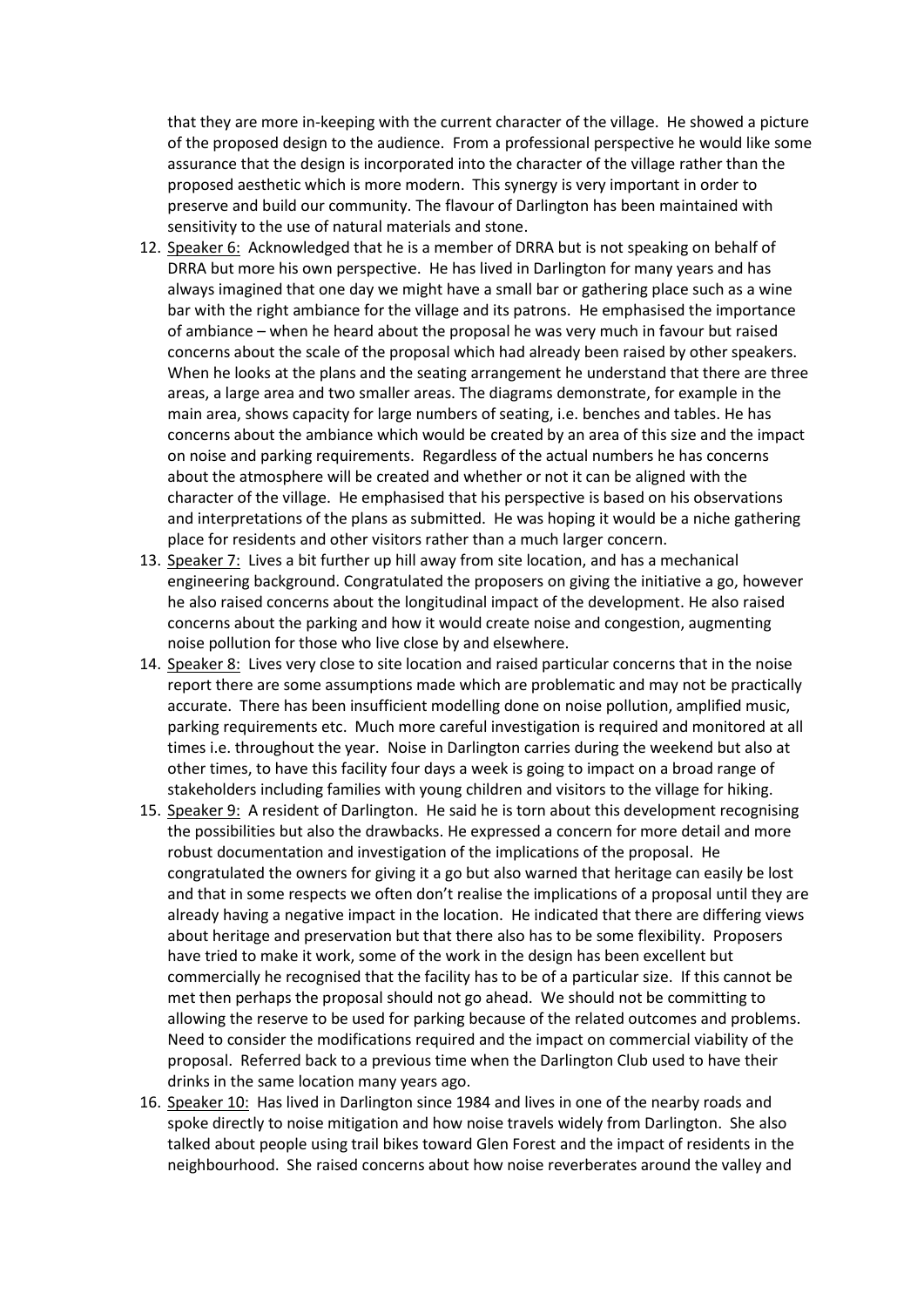that they are more in-keeping with the current character of the village. He showed a picture of the proposed design to the audience. From a professional perspective he would like some assurance that the design is incorporated into the character of the village rather than the proposed aesthetic which is more modern. This synergy is very important in order to preserve and build our community. The flavour of Darlington has been maintained with sensitivity to the use of natural materials and stone.

- 12. Speaker 6: Acknowledged that he is a member of DRRA but is not speaking on behalf of DRRA but more his own perspective. He has lived in Darlington for many years and has always imagined that one day we might have a small bar or gathering place such as a wine bar with the right ambiance for the village and its patrons. He emphasised the importance of ambiance – when he heard about the proposal he was very much in favour but raised concerns about the scale of the proposal which had already been raised by other speakers. When he looks at the plans and the seating arrangement he understand that there are three areas, a large area and two smaller areas. The diagrams demonstrate, for example in the main area, shows capacity for large numbers of seating, i.e. benches and tables. He has concerns about the ambiance which would be created by an area of this size and the impact on noise and parking requirements. Regardless of the actual numbers he has concerns about the atmosphere will be created and whether or not it can be aligned with the character of the village. He emphasised that his perspective is based on his observations and interpretations of the plans as submitted. He was hoping it would be a niche gathering place for residents and other visitors rather than a much larger concern.
- 13. Speaker 7: Lives a bit further up hill away from site location, and has a mechanical engineering background. Congratulated the proposers on giving the initiative a go, however he also raised concerns about the longitudinal impact of the development. He also raised concerns about the parking and how it would create noise and congestion, augmenting noise pollution for those who live close by and elsewhere.
- 14. Speaker 8: Lives very close to site location and raised particular concerns that in the noise report there are some assumptions made which are problematic and may not be practically accurate. There has been insufficient modelling done on noise pollution, amplified music, parking requirements etc. Much more careful investigation is required and monitored at all times i.e. throughout the year. Noise in Darlington carries during the weekend but also at other times, to have this facility four days a week is going to impact on a broad range of stakeholders including families with young children and visitors to the village for hiking.
- 15. Speaker 9: A resident of Darlington. He said he is torn about this development recognising the possibilities but also the drawbacks. He expressed a concern for more detail and more robust documentation and investigation of the implications of the proposal. He congratulated the owners for giving it a go but also warned that heritage can easily be lost and that in some respects we often don't realise the implications of a proposal until they are already having a negative impact in the location. He indicated that there are differing views about heritage and preservation but that there also has to be some flexibility. Proposers have tried to make it work, some of the work in the design has been excellent but commercially he recognised that the facility has to be of a particular size. If this cannot be met then perhaps the proposal should not go ahead. We should not be committing to allowing the reserve to be used for parking because of the related outcomes and problems. Need to consider the modifications required and the impact on commercial viability of the proposal. Referred back to a previous time when the Darlington Club used to have their drinks in the same location many years ago.
- 16. Speaker 10: Has lived in Darlington since 1984 and lives in one of the nearby roads and spoke directly to noise mitigation and how noise travels widely from Darlington. She also talked about people using trail bikes toward Glen Forest and the impact of residents in the neighbourhood. She raised concerns about how noise reverberates around the valley and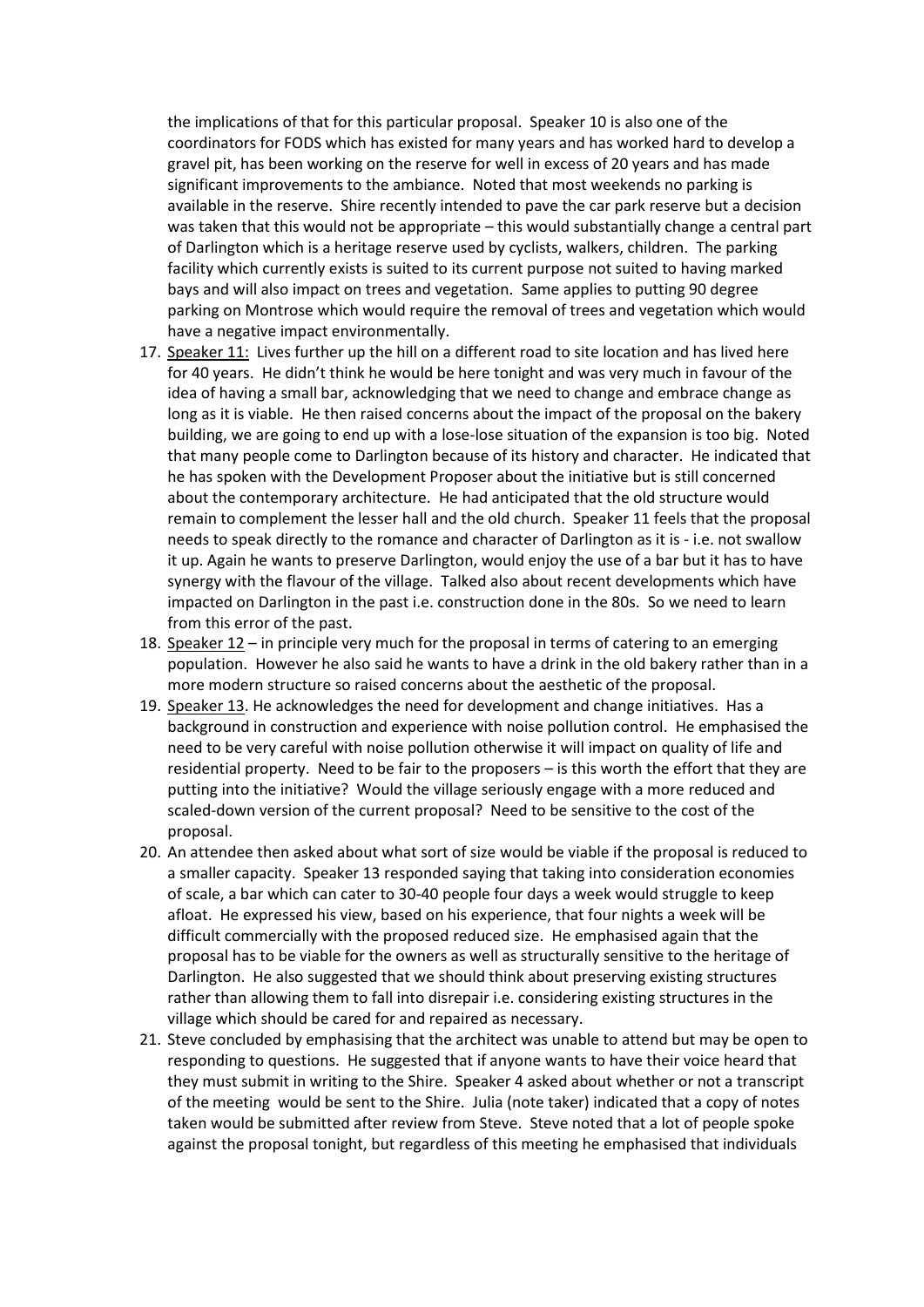the implications of that for this particular proposal. Speaker 10 is also one of the coordinators for FODS which has existed for many years and has worked hard to develop a gravel pit, has been working on the reserve for well in excess of 20 years and has made significant improvements to the ambiance. Noted that most weekends no parking is available in the reserve. Shire recently intended to pave the car park reserve but a decision was taken that this would not be appropriate – this would substantially change a central part of Darlington which is a heritage reserve used by cyclists, walkers, children. The parking facility which currently exists is suited to its current purpose not suited to having marked bays and will also impact on trees and vegetation. Same applies to putting 90 degree parking on Montrose which would require the removal of trees and vegetation which would have a negative impact environmentally.

- 17. Speaker 11: Lives further up the hill on a different road to site location and has lived here for 40 years. He didn't think he would be here tonight and was very much in favour of the idea of having a small bar, acknowledging that we need to change and embrace change as long as it is viable. He then raised concerns about the impact of the proposal on the bakery building, we are going to end up with a lose-lose situation of the expansion is too big. Noted that many people come to Darlington because of its history and character. He indicated that he has spoken with the Development Proposer about the initiative but is still concerned about the contemporary architecture. He had anticipated that the old structure would remain to complement the lesser hall and the old church. Speaker 11 feels that the proposal needs to speak directly to the romance and character of Darlington as it is - i.e. not swallow it up. Again he wants to preserve Darlington, would enjoy the use of a bar but it has to have synergy with the flavour of the village. Talked also about recent developments which have impacted on Darlington in the past i.e. construction done in the 80s. So we need to learn from this error of the past.
- 18. Speaker 12 in principle very much for the proposal in terms of catering to an emerging population. However he also said he wants to have a drink in the old bakery rather than in a more modern structure so raised concerns about the aesthetic of the proposal.
- 19. Speaker 13. He acknowledges the need for development and change initiatives. Has a background in construction and experience with noise pollution control. He emphasised the need to be very careful with noise pollution otherwise it will impact on quality of life and residential property. Need to be fair to the proposers – is this worth the effort that they are putting into the initiative? Would the village seriously engage with a more reduced and scaled-down version of the current proposal? Need to be sensitive to the cost of the proposal.
- 20. An attendee then asked about what sort of size would be viable if the proposal is reduced to a smaller capacity. Speaker 13 responded saying that taking into consideration economies of scale, a bar which can cater to 30-40 people four days a week would struggle to keep afloat. He expressed his view, based on his experience, that four nights a week will be difficult commercially with the proposed reduced size. He emphasised again that the proposal has to be viable for the owners as well as structurally sensitive to the heritage of Darlington. He also suggested that we should think about preserving existing structures rather than allowing them to fall into disrepair i.e. considering existing structures in the village which should be cared for and repaired as necessary.
- 21. Steve concluded by emphasising that the architect was unable to attend but may be open to responding to questions. He suggested that if anyone wants to have their voice heard that they must submit in writing to the Shire. Speaker 4 asked about whether or not a transcript of the meeting would be sent to the Shire. Julia (note taker) indicated that a copy of notes taken would be submitted after review from Steve. Steve noted that a lot of people spoke against the proposal tonight, but regardless of this meeting he emphasised that individuals